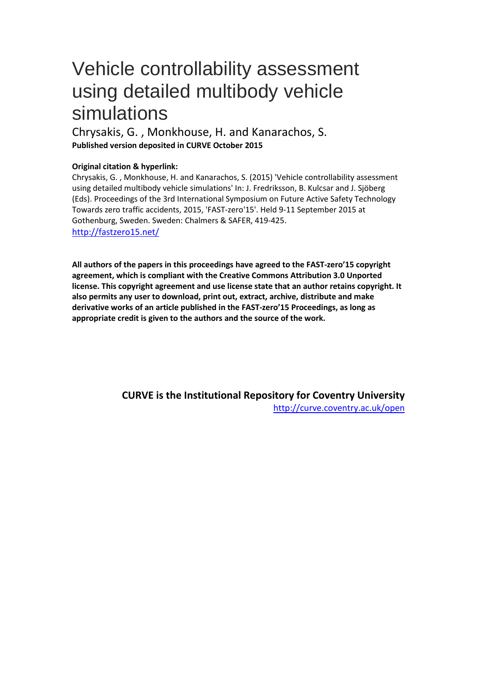# <span id="page-0-0"></span>Vehicle controllability assessment using detailed multibody vehicle simulations

Chrysakis, G. , Monkhouse, H. and Kanarachos, S. **Published version deposited in CURVE October 2015**

# **Original citation & hyperlink:**

Chrysakis, G. , Monkhouse, H. and Kanarachos, S. (2015) 'Vehicle controllability assessment using detailed multibody vehicle simulations' In: J. Fredriksson, B. Kulcsar and J. Sjöberg (Eds). Proceedings of the 3rd International Symposium on Future Active Safety Technology Towards zero traffic accidents, 2015, 'FAST-zero'15'. Held 9-11 September 2015 at Gothenburg, Sweden. Sweden: Chalmers & SAFER, 419-425. <http://fastzero15.net/>

**All authors of the papers in this proceedings have agreed to the FAST-zero'15 copyright agreement, which is compliant with the Creative Commons Attribution 3.0 Unported license. This copyright agreement and use license state that an author retains copyright. It also permits any user to download, print out, extract, archive, distribute and make derivative works of an article published in the FAST-zero'15 Proceedings, as long as appropriate credit is given to the authors and the source of the work.**

> **CURVE is the Institutional Repository for Coventry University** <http://curve.coventry.ac.uk/open>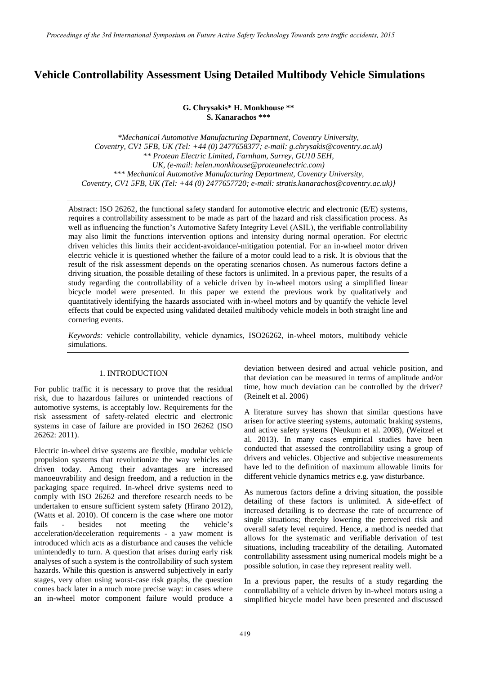# <span id="page-1-0"></span>**[Vehicle Controllability Assessment Using Detailed Multibody Vehicle Simulations](#page-0-0)**

#### **G. Chrysakis\* H. Monkhouse \*\* S. Kanarachos \*\*\***

*\*Mechanical Automotive Manufacturing Department, Coventry University, Coventry, CV1 5FB, UK (Tel: +44 (0) 2477658377; e-mail: g.chrysakis@coventry.ac.uk) \*\* Protean Electric Limited, Farnham, Surrey, GU10 5EH, UK, (e-mail: helen.monkhouse@proteanelectric.com) \*\*\* Mechanical Automotive Manufacturing Department, Coventry University, Coventry, CV1 5FB, UK (Tel: +44 (0) 2477657720; e-mail: stratis.kanarachos@coventry.ac.uk)}*

Abstract: ISO 26262, the functional safety standard for automotive electric and electronic (E/E) systems, requires a controllability assessment to be made as part of the hazard and risk classification process. As well as influencing the function's Automotive Safety Integrity Level (ASIL), the verifiable controllability may also limit the functions intervention options and intensity during normal operation. For electric driven vehicles this limits their accident-avoidance/-mitigation potential. For an in-wheel motor driven electric vehicle it is questioned whether the failure of a motor could lead to a risk. It is obvious that the result of the risk assessment depends on the operating scenarios chosen. As numerous factors define a driving situation, the possible detailing of these factors is unlimited. In a previous paper, the results of a study regarding the controllability of a vehicle driven by in-wheel motors using a simplified linear bicycle model were presented. In this paper we extend the previous work by qualitatively and quantitatively identifying the hazards associated with in-wheel motors and by quantify the vehicle level effects that could be expected using validated detailed multibody vehicle models in both straight line and cornering events.

*Keywords:* vehicle controllability, vehicle dynamics, ISO26262, in-wheel motors, multibody vehicle simulations.

## 1. INTRODUCTION

For public traffic it is necessary to prove that the residual risk, due to hazardous failures or unintended reactions of automotive systems, is acceptably low. Requirements for the risk assessment of safety-related electric and electronic systems in case of failure are provided in ISO 26262 (ISO 26262: 2011).

Electric in-wheel drive systems are flexible, modular vehicle propulsion systems that revolutionize the way vehicles are driven today. Among their advantages are increased manoeuvrability and design freedom, and a reduction in the packaging space required. In-wheel drive systems need to comply with ISO 26262 and therefore research needs to be undertaken to ensure sufficient system safety (Hirano 2012), (Watts et al. 2010). Of concern is the case where one motor fails - besides not meeting the vehicle's acceleration/deceleration requirements - a yaw moment is introduced which acts as a disturbance and causes the vehicle unintendedly to turn. A question that arises during early risk analyses of such a system is the controllability of such system hazards. While this question is answered subjectively in early stages, very often using worst-case risk graphs, the question comes back later in a much more precise way: in cases where an in-wheel motor component failure would produce a

deviation between desired and actual vehicle position, and that deviation can be measured in terms of amplitude and/or time, how much deviation can be controlled by the driver? (Reinelt et al. 2006)

A literature survey has shown that similar questions have arisen for active steering systems, automatic braking systems, and active safety systems (Neukum et al. 2008), (Weitzel et al. 2013). In many cases empirical studies have been conducted that assessed the controllability using a group of drivers and vehicles. Objective and subjective measurements have led to the definition of maximum allowable limits for different vehicle dynamics metrics e.g. yaw disturbance.

As numerous factors define a driving situation, the possible detailing of these factors is unlimited. A side-effect of increased detailing is to decrease the rate of occurrence of single situations; thereby lowering the perceived risk and overall safety level required. Hence, a method is needed that allows for the systematic and verifiable derivation of test situations, including traceability of the detailing. Automated controllability assessment using numerical models might be a possible solution, in case they represent reality well.

In a previous paper, the results of a study regarding the controllability of a vehicle driven by in-wheel motors using a simplified bicycle model have been presented and discussed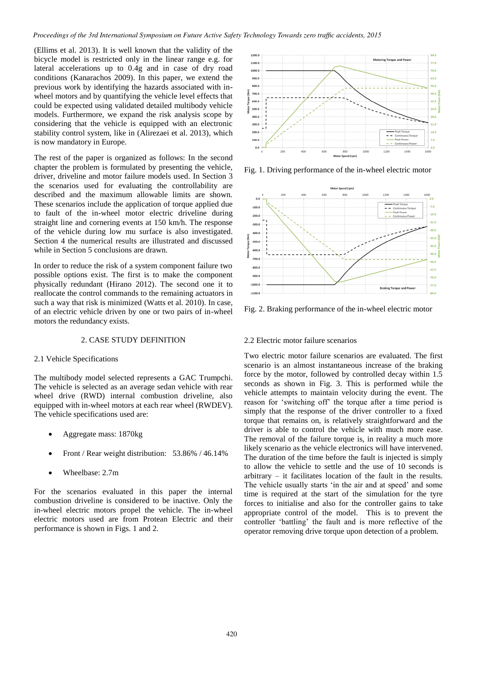<span id="page-2-0"></span>(Ellims et al. 2013). It is well known that the validity of the bicycle model is restricted only in the linear range e.g. for lateral accelerations up to 0.4g and in case of dry road conditions (Kanarachos 2009). In this paper, we extend the previous work by identifying the hazards associated with inwheel motors and by quantifying the vehicle level effects that could be expected using validated detailed multibody vehicle models. Furthermore, we expand the risk analysis scope by considering that the vehicle is equipped with an electronic stability control system, like in (Alirezaei et al. 2013), which is now mandatory in Europe.

The rest of the paper is organized as follows: In the second chapter the problem is formulated by presenting the vehicle, driver, driveline and motor failure models used. In Section 3 the scenarios used for evaluating the controllability are described and the maximum allowable limits are shown. These scenarios include the application of torque applied due to fault of the in-wheel motor electric driveline during straight line and cornering events at 150 km/h. The response of the vehicle during low mu surface is also investigated. Section 4 the numerical results are illustrated and discussed while in Section 5 conclusions are drawn.

In order to reduce the risk of a system component failure two possible options exist. The first is to make the component physically redundant (Hirano 2012). The second one it to reallocate the control commands to the remaining actuators in such a way that risk is minimized (Watts et al. 2010). In case, of an electric vehicle driven by one or two pairs of in-wheel motors the redundancy exists.

# 2. CASE STUDY DEFINITION

#### 2.1 Vehicle Specifications

The multibody model selected represents a GAC Trumpchi. The vehicle is selected as an average sedan vehicle with rear wheel drive (RWD) internal combustion driveline, also equipped with in-wheel motors at each rear wheel (RWDEV). The vehicle specifications used are:

- Aggregate mass: 1870kg
- Front / Rear weight distribution: 53.86% / 46.14%
- Wheelbase: 2.7m

For the scenarios evaluated in this paper the internal combustion driveline is considered to be inactive. Only the in-wheel electric motors propel the vehicle. The in-wheel electric motors used are from Protean Electric and their performance is shown in Figs. 1 and 2.



Fig. 1. Driving performance of the in-wheel electric motor



Fig. 2. Braking performance of the in-wheel electric motor

# 2.2 Electric motor failure scenarios

Two electric motor failure scenarios are evaluated. The first scenario is an almost instantaneous increase of the braking force by the motor, followed by controlled decay within 1.5 seconds as shown in Fig. 3. This is performed while the vehicle attempts to maintain velocity during the event. The reason for 'switching off' the torque after a time period is simply that the response of the driver controller to a fixed torque that remains on, is relatively straightforward and the driver is able to control the vehicle with much more ease. The removal of the failure torque is, in reality a much more likely scenario as the vehicle electronics will have intervened. The duration of the time before the fault is injected is simply to allow the vehicle to settle and the use of 10 seconds is arbitrary – it facilitates location of the fault in the results. The vehicle usually starts 'in the air and at speed' and some time is required at the start of the simulation for the tyre forces to initialise and also for the controller gains to take appropriate control of the model. This is to prevent the controller 'battling' the fault and is more reflective of the operator removing drive torque upon detection of a problem.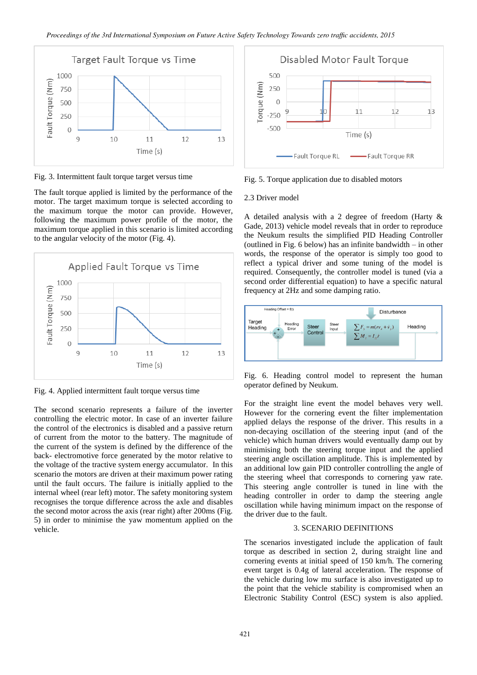<span id="page-3-0"></span>

Fig. 3. Intermittent fault torque target versus time

The fault torque applied is limited by the performance of the motor. The target maximum torque is selected according to the maximum torque the motor can provide. However, following the maximum power profile of the motor, the maximum torque applied in this scenario is limited according to the angular velocity of the motor (Fig. 4).



Fig. 4. Applied intermittent fault torque versus time

The second scenario represents a failure of the inverter controlling the electric motor. In case of an inverter failure the control of the electronics is disabled and a passive return of current from the motor to the battery. The magnitude of the current of the system is defined by the difference of the back- electromotive force generated by the motor relative to the voltage of the tractive system energy accumulator. In this scenario the motors are driven at their maximum power rating until the fault occurs. The failure is initially applied to the internal wheel (rear left) motor. The safety monitoring system recognises the torque difference across the axle and disables the second motor across the axis (rear right) after 200ms (Fig. 5) in order to minimise the yaw momentum applied on the vehicle.



Fig. 5. Torque application due to disabled motors

#### 2.3 Driver model

A detailed analysis with a 2 degree of freedom (Harty & Gade, 2013) vehicle model reveals that in order to reproduce the Neukum results the simplified PID Heading Controller (outlined in Fig. 6 below) has an infinite bandwidth – in other words, the response of the operator is simply too good to reflect a typical driver and some tuning of the model is required. Consequently, the controller model is tuned (via a second order differential equation) to have a specific natural frequency at 2Hz and some damping ratio.



Fig. 6. Heading control model to represent the human operator defined by Neukum.

For the straight line event the model behaves very well. However for the cornering event the filter implementation applied delays the response of the driver. This results in a non-decaying oscillation of the steering input (and of the vehicle) which human drivers would eventually damp out by minimising both the steering torque input and the applied steering angle oscillation amplitude. This is implemented by an additional low gain PID controller controlling the angle of the steering wheel that corresponds to cornering yaw rate. This steering angle controller is tuned in line with the heading controller in order to damp the steering angle oscillation while having minimum impact on the response of the driver due to the fault.

# 3. SCENARIO DEFINITIONS

The scenarios investigated include the application of fault torque as described in section 2, during straight line and cornering events at initial speed of 150 km/h. The cornering event target is 0.4g of lateral acceleration. The response of the vehicle during low mu surface is also investigated up to the point that the vehicle stability is compromised when an Electronic Stability Control (ESC) system is also applied.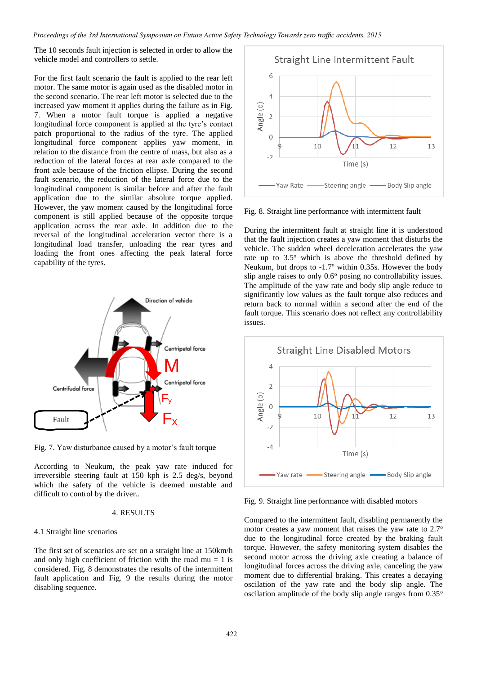<span id="page-4-0"></span>*[Proceedings of the 3rd International Symposium on Future Active Safety Technology Towards zero traffic accidents, 2015](#page-3-0)*

The 10 seconds fault injection is selected in order to allow the vehicle model and controllers to settle.

For the first fault scenario the fault is applied to the rear left motor. The same motor is again used as the disabled motor in the second scenario. The rear left motor is selected due to the increased yaw moment it applies during the failure as in Fig. 7. When a motor fault torque is applied a negative longitudinal force component is applied at the tyre's contact patch proportional to the radius of the tyre. The applied longitudinal force component applies yaw moment, in relation to the distance from the centre of mass, but also as a reduction of the lateral forces at rear axle compared to the front axle because of the friction ellipse. During the second fault scenario, the reduction of the lateral force due to the longitudinal component is similar before and after the fault application due to the similar absolute torque applied. However, the yaw moment caused by the longitudinal force component is still applied because of the opposite torque application across the rear axle. In addition due to the reversal of the longitudinal acceleration vector there is a longitudinal load transfer, unloading the rear tyres and loading the front ones affecting the peak lateral force capability of the tyres.



Fig. 7. Yaw disturbance caused by a motor's fault torque

According to Neukum, the peak yaw rate induced for irreversible steering fault at 150 kph is 2.5 deg/s, beyond which the safety of the vehicle is deemed unstable and difficult to control by the driver..

#### 4. RESULTS

# 4.1 Straight line scenarios

The first set of scenarios are set on a straight line at 150km/h and only high coefficient of friction with the road  $mu = 1$  is considered. Fig. 8 demonstrates the results of the intermittent fault application and Fig. 9 the results during the motor disabling sequence.



Fig. 8. Straight line performance with intermittent fault

During the intermittent fault at straight line it is understood that the fault injection creates a yaw moment that disturbs the vehicle. The sudden wheel deceleration accelerates the yaw rate up to  $3.5^{\circ}$  which is above the threshold defined by Neukum, but drops to -1.7° within 0.35s. However the body slip angle raises to only  $0.6^\circ$  posing no controllability issues. The amplitude of the yaw rate and body slip angle reduce to significantly low values as the fault torque also reduces and return back to normal within a second after the end of the fault torque. This scenario does not reflect any controllability issues.



Fig. 9. Straight line performance with disabled motors

Compared to the intermittent fault, disabling permanently the motor creates a yaw moment that raises the yaw rate to 2.7<sup>o</sup> due to the longitudinal force created by the braking fault torque. However, the safety monitoring system disables the second motor across the driving axle creating a balance of longitudinal forces across the driving axle, canceling the yaw moment due to differential braking. This creates a decaying oscilation of the yaw rate and the body slip angle. The oscilation amplitude of the body slip angle ranges from  $0.35^{\circ}$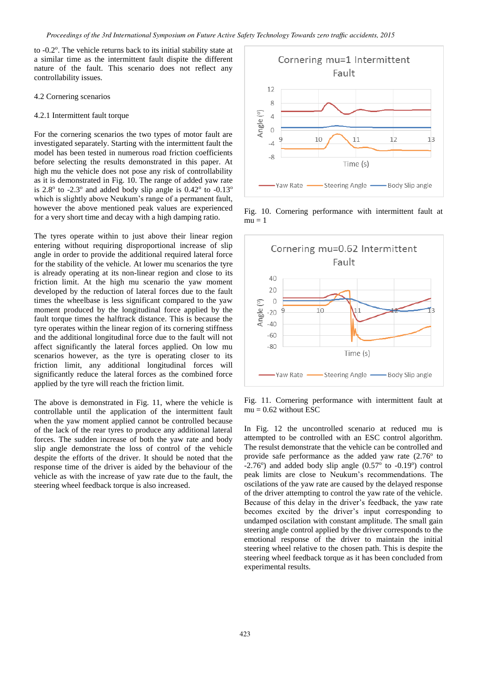<span id="page-5-0"></span>to -0.2°. The vehicle returns back to its initial stability state at a similar time as the intermittent fault dispite the different nature of the fault. This scenario does not reflect any controllability issues.

#### 4.2 Cornering scenarios

#### 4.2.1 Intermittent fault torque

For the cornering scenarios the two types of motor fault are investigated separately. Starting with the intermittent fault the model has been tested in numerous road friction coefficients before selecting the results demonstrated in this paper. At high mu the vehicle does not pose any risk of controllability as it is demonstrated in Fig. 10. The range of added yaw rate is  $2.8^\circ$  to -2.3° and added body slip angle is  $0.42^\circ$  to -0.13° which is slightly above Neukum's range of a permanent fault, however the above mentioned peak values are experienced for a very short time and decay with a high damping ratio.

The tyres operate within to just above their linear region entering without requiring disproportional increase of slip angle in order to provide the additional required lateral force for the stability of the vehicle. At lower mu scenarios the tyre is already operating at its non-linear region and close to its friction limit. At the high mu scenario the yaw moment developed by the reduction of lateral forces due to the fault times the wheelbase is less significant compared to the yaw moment produced by the longitudinal force applied by the fault torque times the halftrack distance. This is because the tyre operates within the linear region of its cornering stiffness and the additional longitudinal force due to the fault will not affect significantly the lateral forces applied. On low mu scenarios however, as the tyre is operating closer to its friction limit, any additional longitudinal forces will significantly reduce the lateral forces as the combined force applied by the tyre will reach the friction limit.

The above is demonstrated in Fig. 11, where the vehicle is controllable until the application of the intermittent fault when the yaw moment applied cannot be controlled because of the lack of the rear tyres to produce any additional lateral forces. The sudden increase of both the yaw rate and body slip angle demonstrate the loss of control of the vehicle despite the efforts of the driver. It should be noted that the response time of the driver is aided by the behaviour of the vehicle as with the increase of yaw rate due to the fault, the steering wheel feedback torque is also increased.



Fig. 10. Cornering performance with intermittent fault at  $mu = 1$ 



Fig. 11. Cornering performance with intermittent fault at  $mu = 0.62$  without ESC

In Fig. 12 the uncontrolled scenario at reduced mu is attempted to be controlled with an ESC control algorithm. The resulst demonstrate that the vehicle can be controlled and provide safe performance as the added yaw rate  $(2.76<sup>o</sup>$  to -2.76 $^{\circ}$ ) and added body slip angle (0.57 $^{\circ}$  to -0.19 $^{\circ}$ ) control peak limits are close to Neukum's recommendations. The oscilations of the yaw rate are caused by the delayed response of the driver attempting to control the yaw rate of the vehicle. Because of this delay in the driver's feedback, the yaw rate becomes excited by the driver's input corresponding to undamped oscilation with constant amplitude. The small gain steering angle control applied by the driver corresponds to the emotional response of the driver to maintain the initial steering wheel relative to the chosen path. This is despite the steering wheel feedback torque as it has been concluded from experimental results.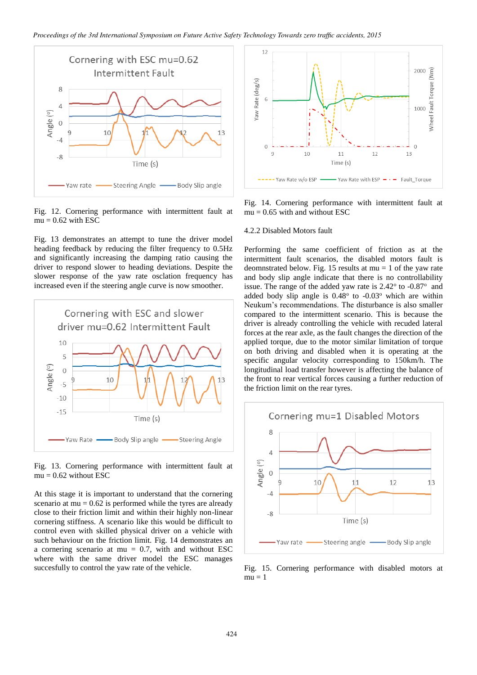<span id="page-6-0"></span>

Fig. 12. Cornering performance with intermittent fault at  $mu = 0.62$  with ESC

Fig. 13 demonstrates an attempt to tune the driver model heading feedback by reducing the filter frequency to 0.5Hz and significantly increasing the damping ratio causing the driver to respond slower to heading deviations. Despite the slower response of the yaw rate osclation frequency has increased even if the steering angle curve is now smoother.



Fig. 13. Cornering performance with intermittent fault at  $mu = 0.62$  without ESC

At this stage it is important to understand that the cornering scenario at  $mu = 0.62$  is performed while the tyres are already close to their friction limit and within their highly non-linear cornering stiffness. A scenario like this would be difficult to control even with skilled physical driver on a vehicle with such behaviour on the friction limit. Fig. 14 demonstrates an a cornering scenario at  $mu = 0.7$ , with and without ESC where with the same driver model the ESC manages succesfully to control the yaw rate of the vehicle.



Fig. 14. Cornering performance with intermittent fault at  $mu = 0.65$  with and without ESC

#### 4.2.2 Disabled Motors fault

Performing the same coefficient of friction as at the intermittent fault scenarios, the disabled motors fault is deomnstrated below. Fig. 15 results at  $mu = 1$  of the yaw rate and body slip angle indicate that there is no controllability issue. The range of the added yaw rate is  $2.42^{\circ}$  to -0.87 $^{\circ}$  and added body slip angle is  $0.48^\circ$  to  $-0.03^\circ$  which are within Neukum's recommendations. The disturbance is also smaller compared to the intermittent scenario. This is because the driver is already controlling the vehicle with recuded lateral forces at the rear axle, as the fault changes the direction of the applied torque, due to the motor similar limitation of torque on both driving and disabled when it is operating at the specific angular velocity corresponding to 150km/h. The longitudinal load transfer however is affecting the balance of the front to rear vertical forces causing a further reduction of the friction limit on the rear tyres.



Fig. 15. Cornering performance with disabled motors at  $mu = 1$